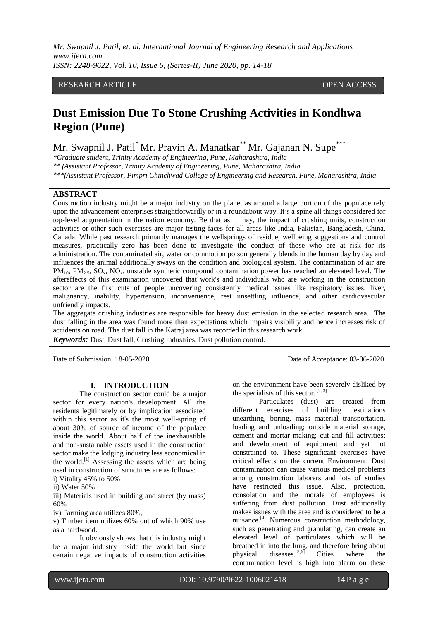*Mr. Swapnil J. Patil, et. al. International Journal of Engineering Research and Applications www.ijera.com ISSN: 2248-9622, Vol. 10, Issue 6, (Series-II) June 2020, pp. 14-18*

## RESEARCH ARTICLE **CONTRACT OPEN ACCESS**

# **Dust Emission Due To Stone Crushing Activities in Kondhwa Region (Pune)**

Mr. Swapnil J. Patil<sup>\*</sup> Mr. Pravin A. Manatkar<sup>\*\*</sup> Mr. Gajanan N. Supe<sup>\*\*</sup>

*\*Graduate student, Trinity Academy of Engineering, Pune, Maharashtra, India \*\* (Assistant Professor, Trinity Academy of Engineering, Pune, Maharashtra, India \*\*\*(Assistant Professor, Pimpri Chinchwad College of Engineering and Research, Pune, Maharashtra, India*

#### **ABSTRACT**

Construction industry might be a major industry on the planet as around a large portion of the populace rely upon the advancement enterprises straightforwardly or in a roundabout way. It's a spine all things considered for top-level augmentation in the nation economy. Be that as it may, the impact of crushing units, construction activities or other such exercises are major testing faces for all areas like India, Pakistan, Bangladesh, China, Canada. While past research primarily manages the wellsprings of residue, wellbeing suggestions and control measures, practically zero has been done to investigate the conduct of those who are at risk for its administration. The contaminated air, water or commotion poison generally blends in the human day by day and influences the animal additionally sways on the condition and biological system. The contamination of air are  $PM_{10}$ ,  $PM_{25}$ ,  $SO_3$ , NO<sub>3</sub>, unstable synthetic compound contamination power has reached an elevated level. The aftereffects of this examination uncovered that work's and individuals who are working in the construction sector are the first cuts of people uncovering consistently medical issues like respiratory issues, liver, malignancy, inability, hypertension, inconvenience, rest unsettling influence, and other cardiovascular unfriendly impacts.

The aggregate crushing industries are responsible for heavy dust emission in the selected research area. The dust falling in the area was found more than expectations which impairs visibility and hence increases risk of accidents on road. The dust fall in the Katraj area was recorded in this research work. *Keywords:* Dust, Dust fall, Crushing Industries, Dust pollution control.

---------------------------------------------------------------------------------------------------------------------------------------

Date of Submission: 18-05-2020 Date of Acceptance: 03-06-2020 ---------------------------------------------------------------------------------------------------------------------------------------

### **I. INTRODUCTION**

The construction sector could be a major sector for every nation's development. All the residents legitimately or by implication associated within this sector as it's the most well-spring of about 30% of source of income of the populace inside the world. About half of the inexhaustible and non-sustainable assets used in the construction sector make the lodging industry less economical in the world.<sup>[1]</sup> Assessing the assets which are being used in construction of structures are as follows: i) Vitality 45% to 50%

ii) Water 50%

iii) Materials used in building and street (by mass) 60%

iv) Farming area utilizes 80%,

v) Timber item utilizes 60% out of which 90% use as a hardwood.

It obviously shows that this industry might be a major industry inside the world but since certain negative impacts of construction activities

on the environment have been severely disliked by the specialists of this sector.  $[2, 3]$ 

Particulates (dust) are created from different exercises of building destinations unearthing, boring, mass material transportation, loading and unloading; outside material storage, cement and mortar making; cut and fill activities; and development of equipment and yet not constrained to. These significant exercises have critical effects on the current Environment. Dust contamination can cause various medical problems among construction laborers and lots of studies have restricted this issue. Also, protection, consolation and the morale of employees is suffering from dust pollution. Dust additionally makes issues with the area and is considered to be a nuisance.<sup>[4]</sup> Numerous construction methodology, such as penetrating and granulating, can create an elevated level of particulates which will be breathed in into the lung, and therefore bring about<br>physical diseases.<sup>[5,6]</sup> Cities where the physical diseases.<sup>[5,6]</sup> Cities where the contamination level is high into alarm on these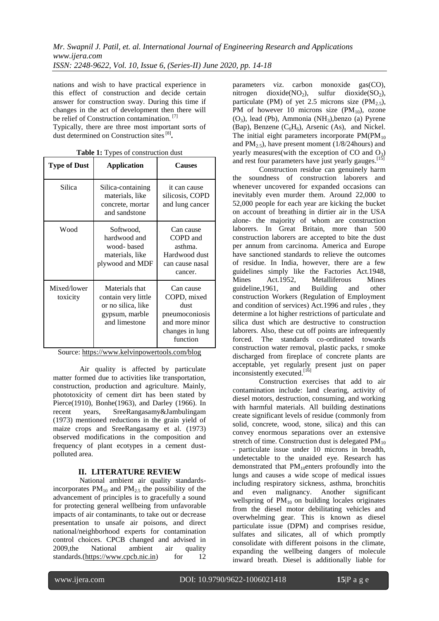nations and wish to have practical experience in this effect of construction and decide certain answer for construction sway. During this time if changes in the act of development then there will be relief of Construction contamination.<sup>[7]</sup>

Typically, there are three most important sorts of dust determined on Construction sites<sup>[8]</sup>.

| <b>Type of Dust</b>     | <b>Application</b>                                                                             | <b>Causes</b>                                                                                       |  |
|-------------------------|------------------------------------------------------------------------------------------------|-----------------------------------------------------------------------------------------------------|--|
| Silica                  | Silica-containing<br>materials, like<br>concrete, mortar<br>and sandstone                      | it can cause<br>silicosis, COPD<br>and lung cancer                                                  |  |
| Wood                    | Softwood,<br>hardwood and<br>wood-based<br>materials, like<br>plywood and MDF                  | Can cause<br>COPD and<br>asthma.<br>Hardwood dust<br>can cause nasal<br>cancer.                     |  |
| Mixed/lower<br>toxicity | Materials that<br>contain very little<br>or no silica, like<br>gypsum, marble<br>and limestone | Can cause<br>COPD, mixed<br>dust<br>pneumoconiosis<br>and more minor<br>changes in lung<br>function |  |

**Table 1:** Types of construction dust

Source: [https://www.kelvinpowertools.com/blog](https://www.kelvinpowertools.com/blog/blog/power-tool-dust-extraction/attachment/8)

Air quality is affected by particulate matter formed due to activities like transportation, construction, production and agriculture. Mainly, phototoxicity of cement dirt has been stated by Pierce(1910), Bonhe(1963), and Darley (1966). In recent years, SreeRangasamy&Jambulingam (1973) mentioned reductions in the grain yield of maize crops and SreeRangasamy et al. (1973) observed modifications in the composition and frequency of plant ecotypes in a cement dustpolluted area.

## **II. LITERATURE REVIEW**

National ambient air quality standardsincorporates  $PM_{10}$  and  $PM_{25}$  the possibility of the advancement of principles is to gracefully a sound for protecting general wellbeing from unfavorable impacts of air contaminants, to take out or decrease presentation to unsafe air poisons, and direct national/neighborhood experts for contamination control choices. CPCB changed and advised in 2009,the National ambient air quality standards.[\(https://www.cpcb.nic.in\)](https://www.cpcb.nic.in/) for  $12$ 

parameters viz. carbon monoxide gas(CO), nitrogen dioxide(NO<sub>2</sub>), sulfur dioxide(SO<sub>2</sub>), particulate (PM) of yet 2.5 microns size (PM<sub>2.5</sub>), PM of however 10 microns size  $(PM_{10})$ , ozone (O3), lead (Pb), Ammonia (NH3),benzo (a) Pyrene (Bap), Benzene  $(C_6H_6)$ , Arsenic (As), and Nickel. The initial eight parameters incorporate  $PM(PM_{10})$ and  $PM_{2.5}$ , have present moment (1/8/24 hours) and yearly measures(with the exception of  $CO$  and  $O_3$ ) and rest four parameters have just yearly gauges.<sup>[15]</sup>

Construction residue can genuinely harm the soundness of construction laborers and whenever uncovered for expanded occasions can inevitably even murder them. Around 22,000 to 52,000 people for each year are kicking the bucket on account of breathing in dirtier air in the USA alone- the majority of whom are construction laborers. In Great Britain, more than 500 construction laborers are accepted to bite the dust per annum from carcinoma. America and Europe have sanctioned standards to relieve the outcomes of residue. In India, however, there are a few guidelines simply like the Factories Act.1948, Mines Act.1952, Metalliferous Mines guideline,1961, and Building and other construction Workers (Regulation of Employment and condition of services) Act.1996 and rules , they determine a lot higher restrictions of particulate and silica dust which are destructive to construction laborers. Also, these cut off points are infrequently forced. The standards co-ordinated towards construction water removal, plastic packs, r smoke discharged from fireplace of concrete plants are acceptable, yet regularly present just on paper inconsistently executed.<sup>[16]</sup>

Construction exercises that add to air contamination include: land clearing, activity of diesel motors, destruction, consuming, and working with harmful materials. All building destinations create significant levels of residue (commonly from solid, concrete, wood, stone, silica) and this can convey enormous separations over an extensive stretch of time. Construction dust is delegated  $PM_{10}$ - particulate issue under 10 microns in breadth, undetectable to the unaided eye. Research has demonstrated that  $PM_{10}$ enters profoundly into the lungs and causes a wide scope of medical issues including respiratory sickness, asthma, bronchitis and even malignancy. Another significant wellspring of  $PM_{10}$  on building locales originates from the diesel motor debilitating vehicles and overwhelming gear. This is known as diesel particulate issue (DPM) and comprises residue, sulfates and silicates, all of which promptly consolidate with different poisons in the climate, expanding the wellbeing dangers of molecule inward breath. Diesel is additionally liable for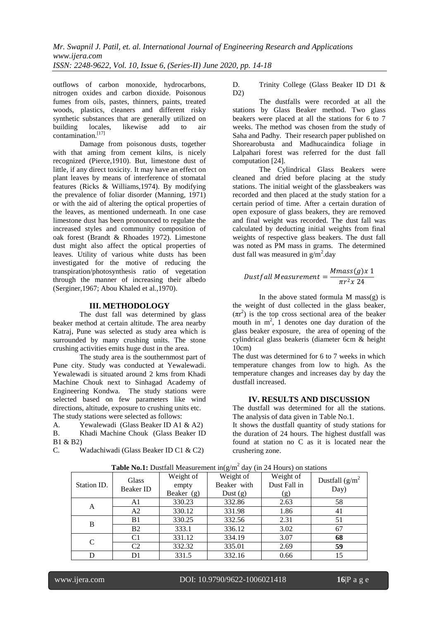outflows of carbon monoxide, hydrocarbons, nitrogen oxides and carbon dioxide. Poisonous fumes from oils, pastes, thinners, paints, treated woods, plastics, cleaners and different risky synthetic substances that are generally utilized on building locales, likewise add to air contamination.<sup>[17]</sup>

Damage from poisonous dusts, together with that aming from cement kilns, is nicely recognized (Pierce,1910). But, limestone dust of little, if any direct toxicity. It may have an effect on plant leaves by means of interference of stomatal features (Ricks & Williams,1974). By modifying the prevalence of foliar disorder (Manning, 1971) or with the aid of altering the optical properties of the leaves, as mentioned underneath. In one case limestone dust has been pronounced to regulate the increased styles and community composition of oak forest (Brandt & Rhoades 1972). Limestone dust might also affect the optical properties of leaves. Utility of various white dusts has been investigated for the motive of reducing the transpiration/photosynthesis ratio of vegetation through the manner of increasing their albedo (Serginer,1967; Abou Khaled et al.,1970).

#### **III. METHODOLOGY**

The dust fall was determined by glass beaker method at certain altitude. The area nearby Katraj, Pune was selected as study area which is surrounded by many crushing units. The stone crushing activities emits huge dust in the area.

The study area is the southernmost part of Pune city. Study was conducted at Yewalewadi. Yewalewadi is situated around 2 kms from Khadi Machine Chouk next to Sinhagad Academy of Engineering Kondwa. The study stations were selected based on few parameters like wind directions, altitude, exposure to crushing units etc. The study stations were selected as follows:

A. Yewalewadi (Glass Beaker ID A1 & A2)

B. Khadi Machine Chouk (Glass Beaker ID B1 & B2)

C. Wadachiwadi (Glass Beaker ID C1 & C2)

D. Trinity College (Glass Beaker ID D1 & D2)

The dustfalls were recorded at all the stations by Glass Beaker method. Two glass beakers were placed at all the stations for 6 to 7 weeks. The method was chosen from the study of Saha and Padhy. Their research paper published on Shorearobusta and Madhucaindica foliage in Lalpahari forest was referred for the dust fall computation [24].

The Cylindrical Glass Beakers were cleaned and dried before placing at the study stations. The initial weight of the glassbeakers was recorded and then placed at the study station for a certain period of time. After a certain duration of open exposure of glass beakers, they are removed and final weight was recorded. The dust fall was calculated by deducting initial weights from final weights of respective glass beakers. The dust fall was noted as PM mass in grams. The determined dust fall was measured in  $g/m^2$ .day

## Dustfall Measurement =  $\frac{Mmass(g)x}{m}$  $\pi r^2 x$  24

In the above stated formula  $M$  mass $(g)$  is the weight of dust collected in the glass beaker,  $(\pi r^2)$  is the top cross sectional area of the beaker mouth in  $m^2$ , 1 denotes one day duration of the glass beaker exposure, the area of opening of the cylindrical glass beakeris (diameter 6cm & height 10cm)

The dust was determined for 6 to 7 weeks in which temperature changes from low to high. As the temperature changes and increases day by day the dustfall increased.

## **IV. RESULTS AND DISCUSSION**

The dustfall was determined for all the stations. The analysis of data given in Table No.1.

It shows the dustfall quantity of study stations for the duration of 24 hours. The highest dustfall was found at station no C as it is located near the crushering zone.

| <b>Table No.1:</b> Dustian Measurement in g/m day (in 24 Hours) on stations |                  |            |                          |                           |                    |  |  |  |
|-----------------------------------------------------------------------------|------------------|------------|--------------------------|---------------------------|--------------------|--|--|--|
|                                                                             | Glass            | Weight of  | Weight of<br>Beaker with | Weight of<br>Dust Fall in | Dustfall $(g/m^2)$ |  |  |  |
| Station ID.                                                                 | <b>Beaker ID</b> | empty      |                          |                           | Day)               |  |  |  |
|                                                                             |                  | Beaker (g) | Dust $(g)$               | (g)                       |                    |  |  |  |
| A                                                                           | A1               | 330.23     | 332.86                   | 2.63                      | 58                 |  |  |  |
|                                                                             | A2               | 330.12     | 331.98                   | 1.86                      | 41                 |  |  |  |
| B                                                                           | B1               | 330.25     | 332.56                   | 2.31                      | 51                 |  |  |  |
|                                                                             | B <sub>2</sub>   | 333.1      | 336.12                   | 3.02                      | 67                 |  |  |  |
| C                                                                           | C1               | 331.12     | 334.19                   | 3.07                      | 68                 |  |  |  |
|                                                                             | C2               | 332.32     | 335.01                   | 2.69                      | 59                 |  |  |  |
|                                                                             | D1               | 331.5      | 332.16                   | 0.66                      | 15                 |  |  |  |

**Table No.1:** Dustfall Measurement in( $g/m^2$  day (in 24 Hours) on stations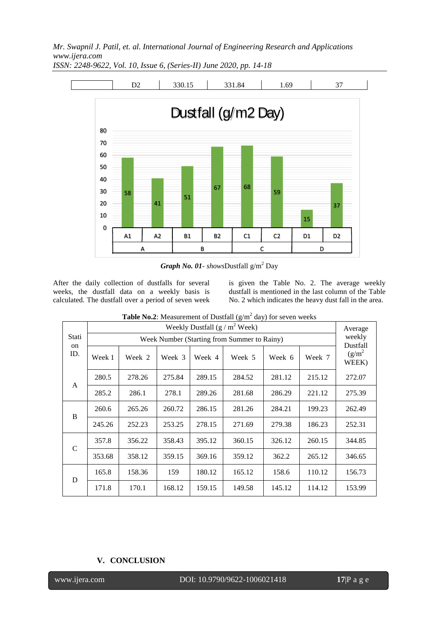*Mr. Swapnil J. Patil, et. al. International Journal of Engineering Research and Applications www.ijera.com*



*ISSN: 2248-9622, Vol. 10, Issue 6, (Series-II) June 2020, pp. 14-18*

*Graph No. 01- showsDustfall*  $g/m^2$  Day

After the daily collection of dustfalls for several weeks, the dustfall data on a weekly basis is calculated. The dustfall over a period of seven week is given the Table No. 2. The average weekly dustfall is mentioned in the last column of the Table No. 2 which indicates the heavy dust fall in the area.

|                               | $\sum_{i=1}^{n}$<br>Weekly Dustfall $(g/m^2$ Week) |        |        |        |        |        | Average            |                    |
|-------------------------------|----------------------------------------------------|--------|--------|--------|--------|--------|--------------------|--------------------|
| Stati<br><sub>on</sub><br>ID. | Week Number (Starting from Summer to Rainy)        |        |        |        |        |        | weekly<br>Dustfall |                    |
|                               | Week 1                                             | Week 2 | Week 3 | Week 4 | Week 5 | Week 6 | Week 7             | $(g/m^2)$<br>WEEK) |
| A                             | 280.5                                              | 278.26 | 275.84 | 289.15 | 284.52 | 281.12 | 215.12             | 272.07             |
|                               | 285.2                                              | 286.1  | 278.1  | 289.26 | 281.68 | 286.29 | 221.12             | 275.39             |
| B                             | 260.6                                              | 265.26 | 260.72 | 286.15 | 281.26 | 284.21 | 199.23             | 262.49             |
|                               | 245.26                                             | 252.23 | 253.25 | 278.15 | 271.69 | 279.38 | 186.23             | 252.31             |
| $\mathcal{C}$                 | 357.8                                              | 356.22 | 358.43 | 395.12 | 360.15 | 326.12 | 260.15             | 344.85             |
|                               | 353.68                                             | 358.12 | 359.15 | 369.16 | 359.12 | 362.2  | 265.12             | 346.65             |
| D                             | 165.8                                              | 158.36 | 159    | 180.12 | 165.12 | 158.6  | 110.12             | 156.73             |
|                               | 171.8                                              | 170.1  | 168.12 | 159.15 | 149.58 | 145.12 | 114.12             | 153.99             |

## **V. CONCLUSION**